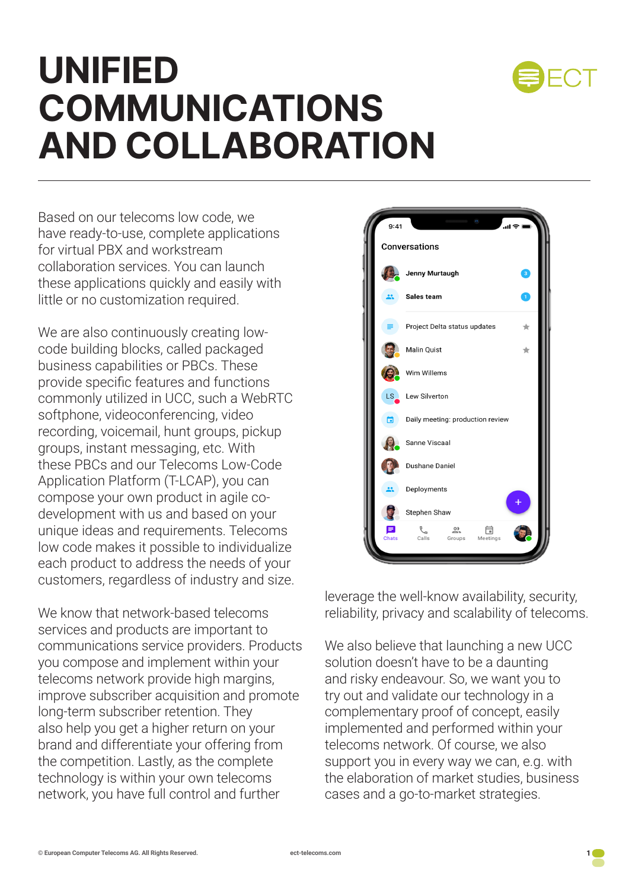

### **UNIFIED COMMUNICATIONS AND COLLABORATION**

Based on our telecoms low code, we have ready-to-use, complete applications for virtual PBX and workstream collaboration services. You can launch these applications quickly and easily with little or no customization required.

We are also continuously creating lowcode building blocks, called packaged business capabilities or PBCs. These provide specific features and functions commonly utilized in UCC, such a WebRTC softphone, videoconferencing, video recording, voicemail, hunt groups, pickup groups, instant messaging, etc. With these PBCs and our Telecoms Low-Code Application Platform (T-LCAP), you can compose your own product in agile codevelopment with us and based on your unique ideas and requirements. Telecoms low code makes it possible to individualize each product to address the needs of your customers, regardless of industry and size.

We know that network-based telecoms services and products are important to communications service providers. Products you compose and implement within your telecoms network provide high margins, improve subscriber acquisition and promote long-term subscriber retention. They also help you get a higher return on your brand and differentiate your offering from the competition. Lastly, as the complete technology is within your own telecoms network, you have full control and further



leverage the well-know availability, security, reliability, privacy and scalability of telecoms.

We also believe that launching a new UCC solution doesn't have to be a daunting and risky endeavour. So, we want you to try out and validate our technology in a complementary proof of concept, easily implemented and performed within your telecoms network. Of course, we also support you in every way we can, e.g. with the elaboration of market studies, business cases and a go-to-market strategies.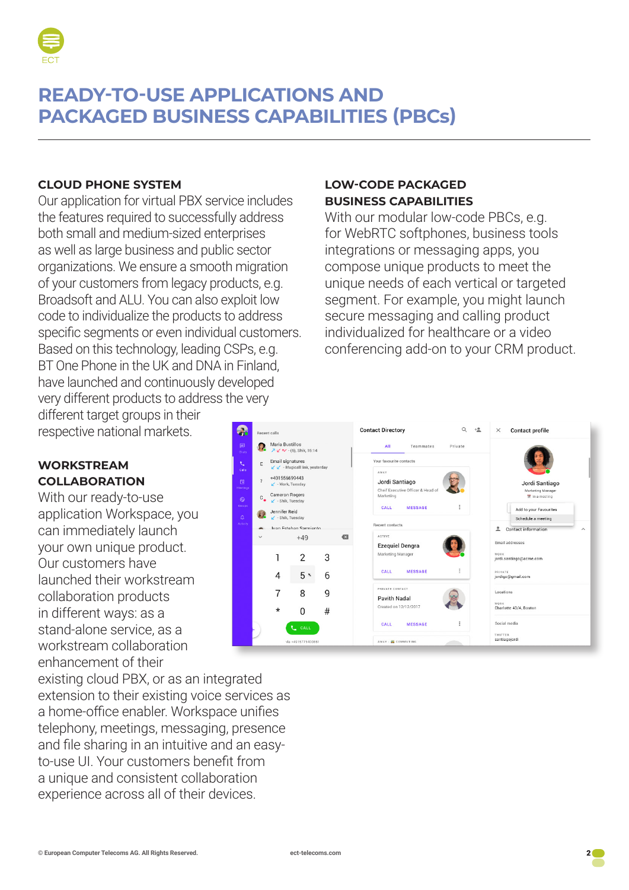

#### **READY-TO-USE APPLICATIONS AND PACKAGED BUSINESS CAPABILITIES (PBCs)**

#### **CLOUD PHONE SYSTEM**

Our application for virtual PBX service includes the features required to successfully address both small and medium-sized enterprises as well as large business and public sector organizations. We ensure a smooth migration of your customers from legacy products, e.g. Broadsoft and ALU. You can also exploit low code to individualize the products to address specific segments or even individual customers. Based on this technology, leading CSPs, e.g. BT One Phone in the UK and DNA in Finland, have launched and continuously developed very different products to address the very

#### **LOW-CODE PACKAGED BUSINESS CAPABILITIES**

With our modular low-code PBCs, e.g. for WebRTC softphones, business tools integrations or messaging apps, you compose unique products to meet the unique needs of each vertical or targeted segment. For example, you might launch secure messaging and calling product individualized for healthcare or a video conferencing add-on to your CRM product.

different target groups in their respective national markets.

#### **WORKSTREAM COLLABORATION**

With our ready-to-use application Workspace, you can immediately launch your own unique product. Our customers have launched their workstream collaboration products in different ways: as a stand-alone service, as a workstream collaboration enhancement of their

existing cloud PBX, or as an integrated extension to their existing voice services as a home-office enabler. Workspace unifies telephony, meetings, messaging, presence and file sharing in an intuitive and an easyto-use UI. Your customers benefit from a unique and consistent collaboration experience across all of their devices.

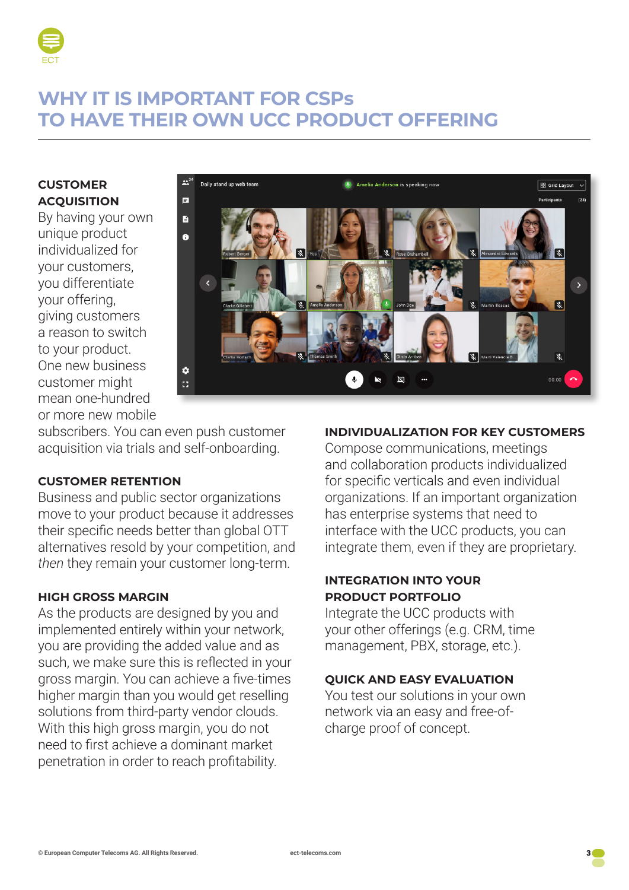

#### **WHY IT IS IMPORTANT FOR CSPs TO HAVE THEIR OWN UCC PRODUCT OFFERING**

#### **CUSTOMER ACQUISITION**

By having your own unique product individualized for your customers, you differentiate your offering, giving customers a reason to switch to your product. One new business customer might mean one-hundred or more new mobile



subscribers. You can even push customer acquisition via trials and self-onboarding.

#### **CUSTOMER RETENTION**

Business and public sector organizations move to your product because it addresses their specific needs better than global OTT alternatives resold by your competition, and *then* they remain your customer long-term.

#### **HIGH GROSS MARGIN**

As the products are designed by you and implemented entirely within your network, you are providing the added value and as such, we make sure this is reflected in your gross margin. You can achieve a five-times higher margin than you would get reselling solutions from third-party vendor clouds. With this high gross margin, you do not need to first achieve a dominant market penetration in order to reach profitability.

#### **INDIVIDUALIZATION FOR KEY CUSTOMERS**

Compose communications, meetings and collaboration products individualized for specific verticals and even individual organizations. If an important organization has enterprise systems that need to interface with the UCC products, you can integrate them, even if they are proprietary.

#### **INTEGRATION INTO YOUR PRODUCT PORTFOLIO**

Integrate the UCC products with your other offerings (e.g. CRM, time management, PBX, storage, etc.).

#### **QUICK AND EASY EVALUATION**

You test our solutions in your own network via an easy and free-ofcharge proof of concept.